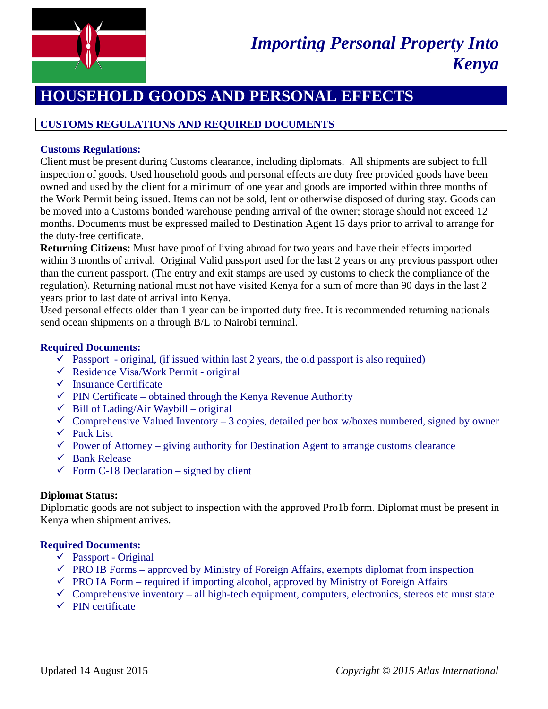

# **HOUSEHOLD GOODS AND PERSONAL EFFECTS**

# **CUSTOMS REGULATIONS AND REQUIRED DOCUMENTS**

## **Customs Regulations:**

Client must be present during Customs clearance, including diplomats. All shipments are subject to full inspection of goods. Used household goods and personal effects are duty free provided goods have been owned and used by the client for a minimum of one year and goods are imported within three months of the Work Permit being issued. Items can not be sold, lent or otherwise disposed of during stay. Goods can be moved into a Customs bonded warehouse pending arrival of the owner; storage should not exceed 12 months. Documents must be expressed mailed to Destination Agent 15 days prior to arrival to arrange for the duty-free certificate.

**Returning Citizens:** Must have proof of living abroad for two years and have their effects imported within 3 months of arrival. Original Valid passport used for the last 2 years or any previous passport other than the current passport. (The entry and exit stamps are used by customs to check the compliance of the regulation). Returning national must not have visited Kenya for a sum of more than 90 days in the last 2 years prior to last date of arrival into Kenya.

Used personal effects older than 1 year can be imported duty free. It is recommended returning nationals send ocean shipments on a through B/L to Nairobi terminal.

## **Required Documents:**

- $\checkmark$  Passport original, (if issued within last 2 years, the old passport is also required)
- $\checkmark$  Residence Visa/Work Permit original
- $\checkmark$  Insurance Certificate
- $\checkmark$  PIN Certificate obtained through the Kenya Revenue Authority
- $\checkmark$  Bill of Lading/Air Waybill original
- $\checkmark$  Comprehensive Valued Inventory 3 copies, detailed per box w/boxes numbered, signed by owner
- $\checkmark$  Pack List
- $\checkmark$  Power of Attorney giving authority for Destination Agent to arrange customs clearance
- $\checkmark$  Bank Release
- $\checkmark$  Form C-18 Declaration signed by client

## **Diplomat Status:**

Diplomatic goods are not subject to inspection with the approved Pro1b form. Diplomat must be present in Kenya when shipment arrives.

## **Required Documents:**

- $\checkmark$  Passport Original
- $\checkmark$  PRO IB Forms approved by Ministry of Foreign Affairs, exempts diplomat from inspection
- $\checkmark$  PRO IA Form required if importing alcohol, approved by Ministry of Foreign Affairs
- $\checkmark$  Comprehensive inventory all high-tech equipment, computers, electronics, stereos etc must state
- $\checkmark$  PIN certificate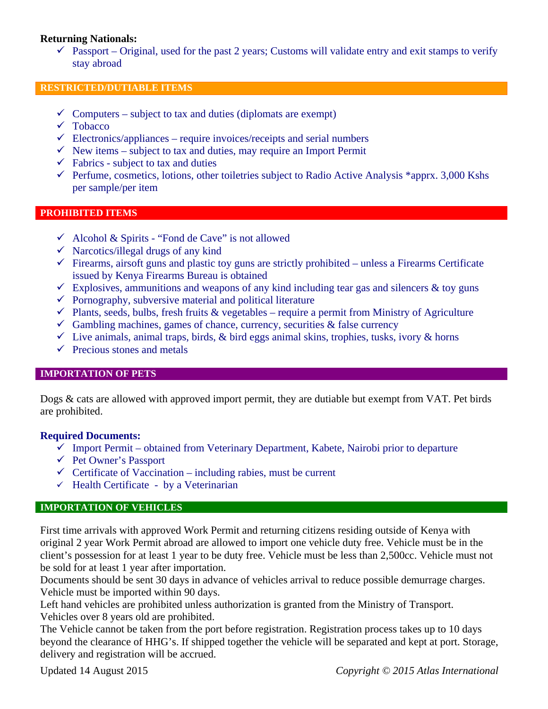### **Returning Nationals:**

 $\checkmark$  Passport – Original, used for the past 2 years; Customs will validate entry and exit stamps to verify stay abroad

#### **RESTRICTED/DUTIABLE ITEMS**

- $\checkmark$  Computers subject to tax and duties (diplomats are exempt)
- $\checkmark$  Tobacco
- $\checkmark$  Electronics/appliances require invoices/receipts and serial numbers
- $\checkmark$  New items subject to tax and duties, may require an Import Permit
- $\checkmark$  Fabrics subject to tax and duties
- $\checkmark$  Perfume, cosmetics, lotions, other toiletries subject to Radio Active Analysis \*apprx. 3,000 Kshs per sample/per item

#### **PROHIBITED ITEMS**

- $\checkmark$  Alcohol & Spirits "Fond de Cave" is not allowed
- $\checkmark$  Narcotics/illegal drugs of any kind
- $\checkmark$  Firearms, airsoft guns and plastic toy guns are strictly prohibited unless a Firearms Certificate issued by Kenya Firearms Bureau is obtained
- $\checkmark$  Explosives, ammunitions and weapons of any kind including tear gas and silencers & toy guns
- $\checkmark$  Pornography, subversive material and political literature
- $\checkmark$  Plants, seeds, bulbs, fresh fruits & vegetables require a permit from Ministry of Agriculture
- $\checkmark$  Gambling machines, games of chance, currency, securities & false currency
- $\checkmark$  Live animals, animal traps, birds, & bird eggs animal skins, trophies, tusks, ivory & horns
- $\checkmark$  Precious stones and metals

### **IMPORTATION OF PETS**

Dogs & cats are allowed with approved import permit, they are dutiable but exempt from VAT. Pet birds are prohibited.

#### **Required Documents:**

- $\checkmark$  Import Permit obtained from Veterinary Department, Kabete, Nairobi prior to departure
- Pet Owner's Passport
- $\checkmark$  Certificate of Vaccination including rabies, must be current
- $\checkmark$  Health Certificate by a Veterinarian

### **IMPORTATION OF VEHICLES**

First time arrivals with approved Work Permit and returning citizens residing outside of Kenya with original 2 year Work Permit abroad are allowed to import one vehicle duty free. Vehicle must be in the client's possession for at least 1 year to be duty free. Vehicle must be less than 2,500cc. Vehicle must not be sold for at least 1 year after importation.

Documents should be sent 30 days in advance of vehicles arrival to reduce possible demurrage charges. Vehicle must be imported within 90 days.

Left hand vehicles are prohibited unless authorization is granted from the Ministry of Transport. Vehicles over 8 years old are prohibited.

The Vehicle cannot be taken from the port before registration. Registration process takes up to 10 days beyond the clearance of HHG's. If shipped together the vehicle will be separated and kept at port. Storage, delivery and registration will be accrued.